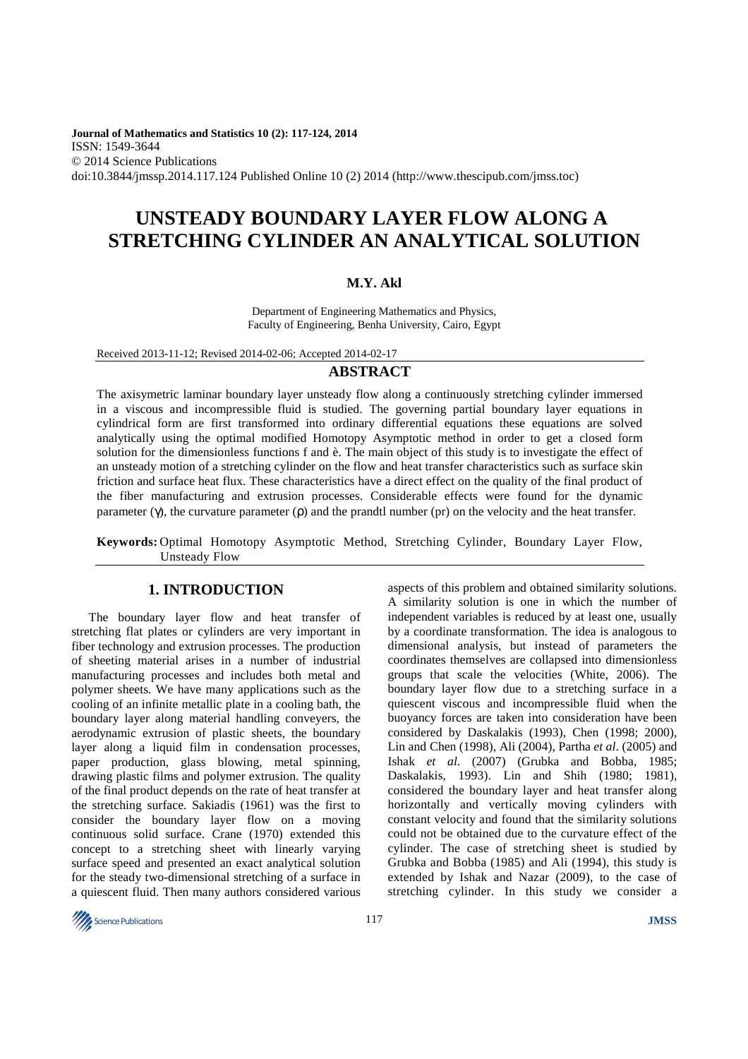**Journal of Mathematics and Statistics 10 (2): 117-124, 2014**  ISSN: 1549-3644 © 2014 Science Publications doi:10.3844/jmssp.2014.117.124 Published Online 10 (2) 2014 (http://www.thescipub.com/jmss.toc)

# **UNSTEADY BOUNDARY LAYER FLOW ALONG A STRETCHING CYLINDER AN ANALYTICAL SOLUTION**

#### **M.Y. Akl**

Department of Engineering Mathematics and Physics, Faculty of Engineering, Benha University, Cairo, Egypt

Received 2013-11-12; Revised 2014-02-06; Accepted 2014-02-17

#### **ABSTRACT**

The axisymetric laminar boundary layer unsteady flow along a continuously stretching cylinder immersed in a viscous and incompressible fluid is studied. The governing partial boundary layer equations in cylindrical form are first transformed into ordinary differential equations these equations are solved analytically using the optimal modified Homotopy Asymptotic method in order to get a closed form solution for the dimensionless functions f and è. The main object of this study is to investigate the effect of an unsteady motion of a stretching cylinder on the flow and heat transfer characteristics such as surface skin friction and surface heat flux. These characteristics have a direct effect on the quality of the final product of the fiber manufacturing and extrusion processes. Considerable effects were found for the dynamic parameter  $(\gamma)$ , the curvature parameter ( $\rho$ ) and the prandtl number ( $p$ r) on the velocity and the heat transfer.

**Keywords:** Optimal Homotopy Asymptotic Method, Stretching Cylinder, Boundary Layer Flow, Unsteady Flow

## **1. INTRODUCTION**

The boundary layer flow and heat transfer of stretching flat plates or cylinders are very important in fiber technology and extrusion processes. The production of sheeting material arises in a number of industrial manufacturing processes and includes both metal and polymer sheets. We have many applications such as the cooling of an infinite metallic plate in a cooling bath, the boundary layer along material handling conveyers, the aerodynamic extrusion of plastic sheets, the boundary layer along a liquid film in condensation processes, paper production, glass blowing, metal spinning, drawing plastic films and polymer extrusion. The quality of the final product depends on the rate of heat transfer at the stretching surface. Sakiadis (1961) was the first to consider the boundary layer flow on a moving continuous solid surface. Crane (1970) extended this concept to a stretching sheet with linearly varying surface speed and presented an exact analytical solution for the steady two-dimensional stretching of a surface in a quiescent fluid. Then many authors considered various

aspects of this problem and obtained similarity solutions. A similarity solution is one in which the number of independent variables is reduced by at least one, usually by a coordinate transformation. The idea is analogous to dimensional analysis, but instead of parameters the coordinates themselves are collapsed into dimensionless groups that scale the velocities (White, 2006). The boundary layer flow due to a stretching surface in a quiescent viscous and incompressible fluid when the buoyancy forces are taken into consideration have been considered by Daskalakis (1993), Chen (1998; 2000), Lin and Chen (1998), Ali (2004), Partha *et al*. (2005) and Ishak *et al*. (2007) (Grubka and Bobba, 1985; Daskalakis, 1993). Lin and Shih (1980; 1981), considered the boundary layer and heat transfer along horizontally and vertically moving cylinders with constant velocity and found that the similarity solutions could not be obtained due to the curvature effect of the cylinder. The case of stretching sheet is studied by Grubka and Bobba (1985) and Ali (1994), this study is extended by Ishak and Nazar (2009), to the case of stretching cylinder. In this study we consider a

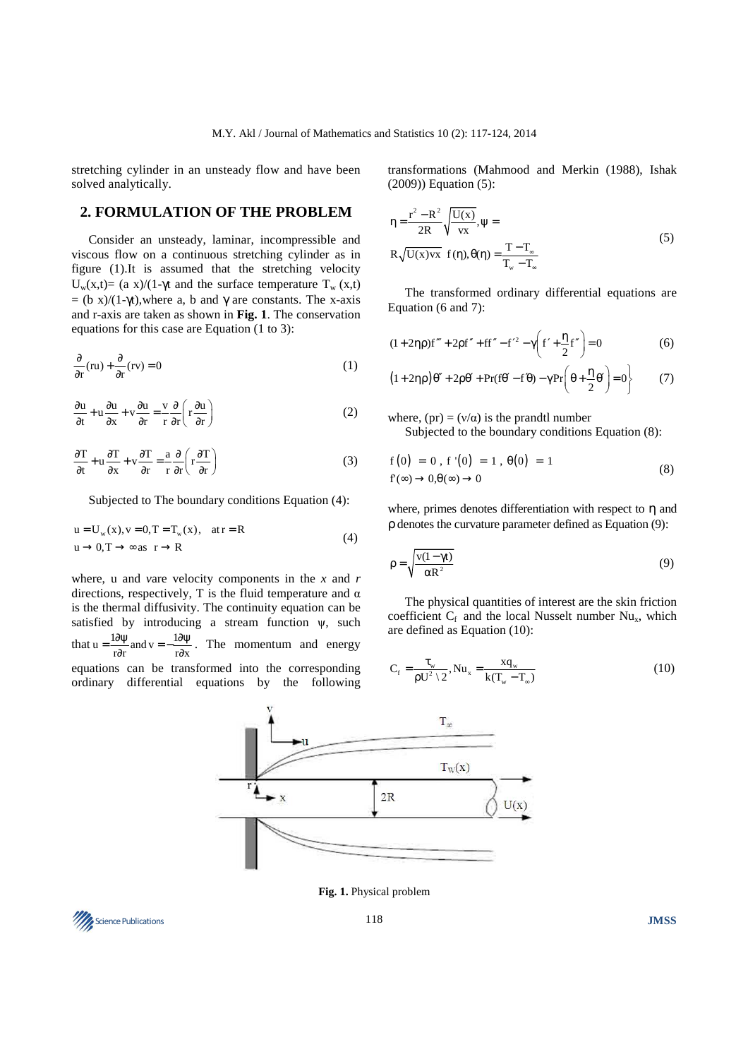stretching cylinder in an unsteady flow and have been solved analytically.

### **2. FORMULATION OF THE PROBLEM**

Consider an unsteady, laminar, incompressible and viscous flow on a continuous stretching cylinder as in figure (1).It is assumed that the stretching velocity U<sub>w</sub>(x,t)= (a x)/(1-γt and the surface temperature T<sub>w</sub> (x,t)  $=$  (b x)/(1-γt), where a, b and γ are constants. The x-axis and r-axis are taken as shown in **Fig. 1**. The conservation equations for this case are Equation (1 to 3):

$$
\frac{\partial}{\partial r}(ru) + \frac{\partial}{\partial r}(rv) = 0
$$
\n(1)

$$
\frac{\partial u}{\partial t} + u \frac{\partial u}{\partial x} + v \frac{\partial u}{\partial r} = \frac{v}{r} \frac{\partial}{\partial r} \left( r \frac{\partial u}{\partial r} \right)
$$
 (2)

$$
\frac{\partial T}{\partial t} + u \frac{\partial T}{\partial x} + v \frac{\partial T}{\partial r} = \frac{a}{r} \frac{\partial}{\partial r} \left( r \frac{\partial T}{\partial r} \right)
$$
(3)

Subjected to The boundary conditions Equation (4):

$$
u = U_w(x), v = 0, T = T_w(x), at r = R
$$
  
\n
$$
u \rightarrow 0, T \rightarrow \infty \text{ as } r \rightarrow R
$$
 (4)

where, u and *v*are velocity components in the *x* and *r* directions, respectively, T is the fluid temperature and  $\alpha$ is the thermal diffusivity. The continuity equation can be satisfied by introducing a stream function  $\psi$ , such that  $u = \frac{1 \partial \psi}{r \partial r}$  and  $v = -\frac{1 \partial \psi}{r \partial x}$  $=\frac{1\partial \psi}{r\partial r}$  and  $v=-\frac{1\partial \psi}{r\partial x}$ . The momentum and energy equations can be transformed into the corresponding ordinary differential equations by the following

transformations (Mahmood and Merkin (1988), Ishak (2009)) Equation (5):

$$
\eta = \frac{r^2 - R^2}{2R} \sqrt{\frac{U(x)}{vx}}, \psi =
$$
  
\n
$$
R \sqrt{U(x)vx} \quad f(\eta), \theta(\eta) = \frac{T - T_{\infty}}{T_w - T_{\infty}}
$$
\n(5)

The transformed ordinary differential equations are Equation (6 and 7):

$$
(1+2\eta \rho)f''' + 2\rho f'' + ff'' - f'^2 - \gamma \left(f' + \frac{\eta}{2}f''\right) = 0
$$
 (6)

$$
(1+2\eta \rho)\theta'' + 2\rho \theta' + \Pr(f\theta' - f\theta) - \gamma \Pr\left(\theta + \frac{\eta}{2}\theta'\right) = 0\}
$$
 (7)

where,  $(pr) = (v/\alpha)$  is the prandtl number

Subjected to the boundary conditions Equation (8):

$$
f(0) = 0, f'(0) = 1, \theta(0) = 1
$$
  

$$
f(\infty) \to 0, \theta(\infty) \to 0
$$
 (8)

where, primes denotes differentiation with respect to  $\eta$  and ρ denotes the curvature parameter defined as Equation (9):

$$
\rho = \sqrt{\frac{v(1 - \gamma t)}{\alpha R^2}}
$$
\n(9)

The physical quantities of interest are the skin friction coefficient  $C_f$  and the local Nusselt number  $Nu_x$ , which are defined as Equation (10):

$$
C_{f} = \frac{\tau_{w}}{\rho U^{2} \setminus 2}, Nu_{x} = \frac{xq_{w}}{k(T_{w} - T_{\infty})}
$$
(10)



**Fig. 1.** Physical problem

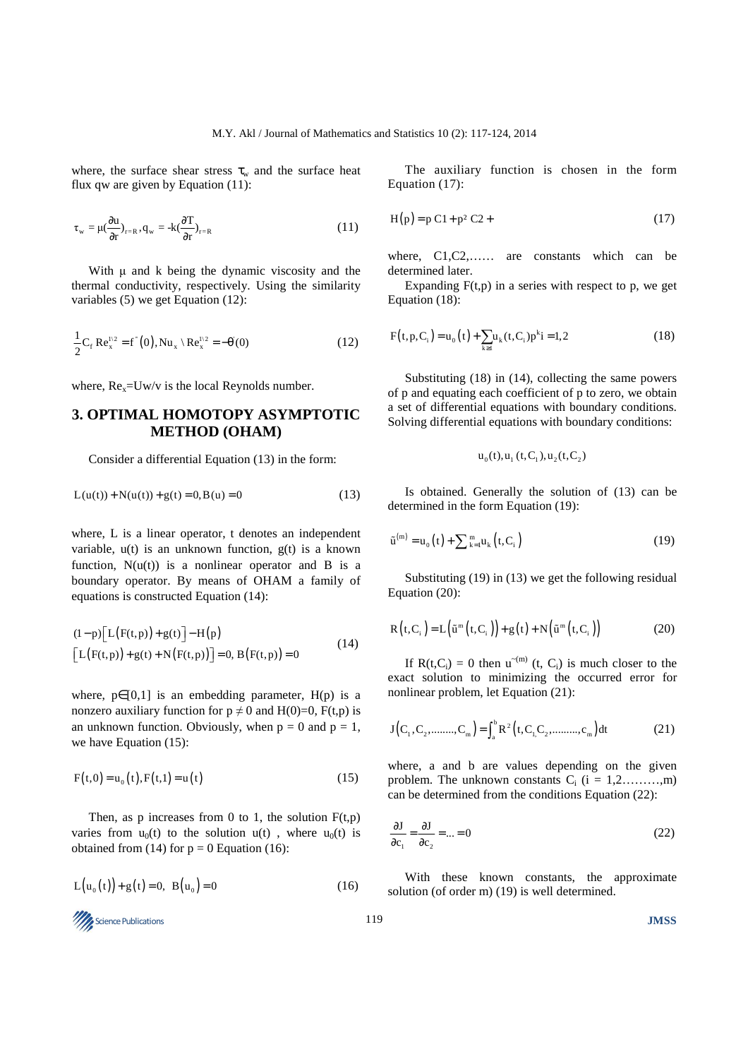where, the surface shear stress  $\tau_w$  and the surface heat flux qw are given by Equation (11):

$$
\tau_{w} = \mu(\frac{\partial u}{\partial r})_{r=R}, q_{w} = -k(\frac{\partial T}{\partial r})_{r=R}
$$
\n(11)

With  $\mu$  and  $k$  being the dynamic viscosity and the thermal conductivity, respectively. Using the similarity variables (5) we get Equation (12):

$$
\frac{1}{2}C_f Re_x^{1/2} = f'(0), Nu_x \setminus Re_x^{1/2} = -\theta'(0)
$$
 (12)

where,  $Re_x = Uw/v$  is the local Reynolds number.

# **3. OPTIMAL HOMOTOPY ASYMPTOTIC METHOD (OHAM)**

Consider a differential Equation (13) in the form:

$$
L(u(t)) + N(u(t)) + g(t) = 0, B(u) = 0
$$
\n(13)

where, L is a linear operator, t denotes an independent variable,  $u(t)$  is an unknown function,  $g(t)$  is a known function,  $N(u(t))$  is a nonlinear operator and B is a boundary operator. By means of OHAM a family of equations is constructed Equation (14):

$$
(1-p)\big[L(F(t,p)) + g(t)\big] - H(p) \n[L(F(t,p)) + g(t) + N(F(t,p))\big] = 0, B(F(t,p)) = 0
$$
\n(14)

where,  $p \in [0,1]$  is an embedding parameter,  $H(p)$  is a nonzero auxiliary function for  $p \neq 0$  and  $H(0)=0$ ,  $F(t,p)$  is an unknown function. Obviously, when  $p = 0$  and  $p = 1$ , we have Equation (15):

$$
F(t,0) = u_0(t), F(t,1) = u(t)
$$
\n(15)

Then, as p increases from 0 to 1, the solution  $F(t,p)$ varies from  $u_0(t)$  to the solution  $u(t)$ , where  $u_0(t)$  is obtained from (14) for  $p = 0$  Equation (16):

$$
L(u_0(t)) + g(t) = 0, B(u_0) = 0
$$
 (16)

Science Publications 119 **JMSS** 

The auxiliary function is chosen in the form Equation (17):

$$
H(p) = p C1 + p2 C2 + (17)
$$

where, C1, C2,...... are constants which can be determined later.

Expanding  $F(t,p)$  in a series with respect to p, we get Equation (18):

$$
F(t, p, C_i) = u_0(t) + \sum_{k \ge 1} u_k(t, C_i) p^k i = 1, 2
$$
 (18)

Substituting (18) in (14), collecting the same powers of p and equating each coefficient of p to zero, we obtain a set of differential equations with boundary conditions. Solving differential equations with boundary conditions:

$$
u_0(t), u_1(t, C_1), u_2(t, C_2)
$$

Is obtained. Generally the solution of (13) can be determined in the form Equation (19):

$$
\tilde{\mathbf{u}}^{(m)} = \mathbf{u}_0(t) + \sum_{k=1}^{m} \mathbf{u}_k(t, C_i)
$$
\n(19)

Substituting (19) in (13) we get the following residual Equation (20):

$$
R(t,C_i) = L(\tilde{u}^m(t,C_i)) + g(t) + N(\tilde{u}^m(t,C_i))
$$
 (20)

If  $R(t,C_i) = 0$  then  $u^{-(m)}(t, C_i)$  is much closer to the exact solution to minimizing the occurred error for nonlinear problem, let Equation (21):

$$
J(C_1, C_2, \dots, C_m) = \int_a^b R^2(t, C_1, C_2, \dots, C_m) dt
$$
 (21)

where, a and b are values depending on the given problem. The unknown constants  $C_i$  ( $i = 1, 2, \ldots, m$ ) can be determined from the conditions Equation (22):

$$
\frac{\partial J}{\partial c_1} = \frac{\partial J}{\partial c_2} = \dots = 0
$$
 (22)

With these known constants, the approximate solution (of order m) (19) is well determined.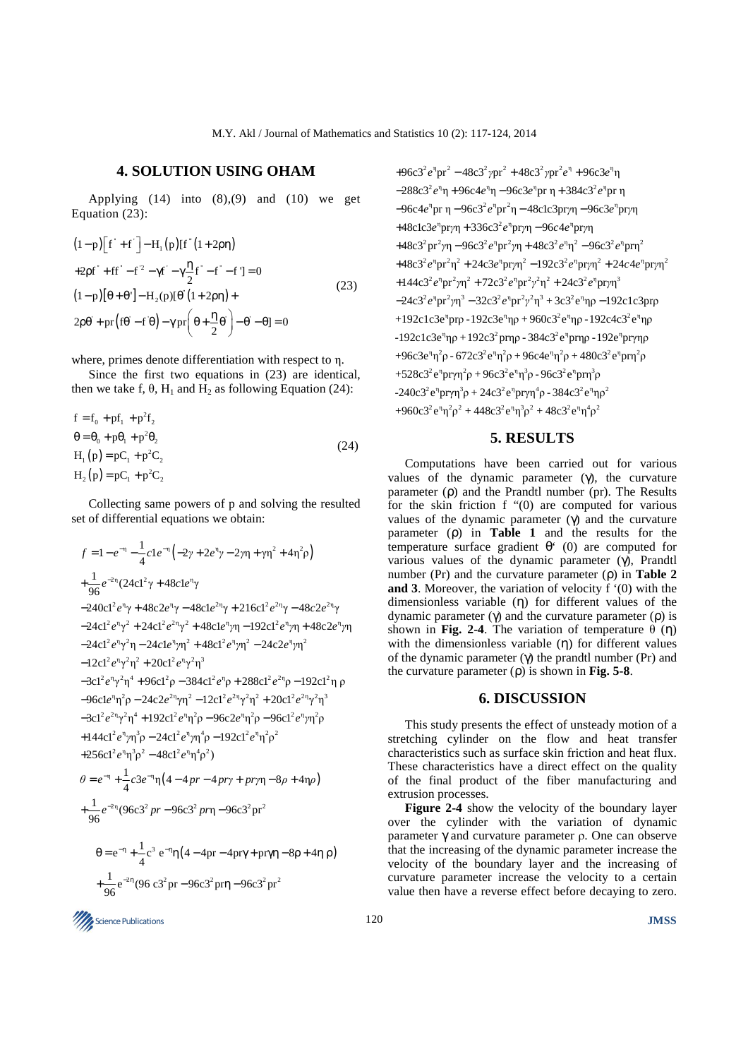## **4. SOLUTION USING OHAM**

Applying  $(14)$  into  $(8),(9)$  and  $(10)$  we get Equation (23):

$$
(1-p)\left[f^+ + f^-\right] - H_1(p)\left[f^-(1+2\rho\eta)\right]
$$
  
+2pf^+ + ff^--f^2 - \gamma f^{\prime} - \gamma \frac{\eta}{2}f^{\prime} - f^{\prime} - f^{\prime} = 0  
(1-p)\left[\theta + \theta^{\prime}\right] - H\_2(p)\left[\theta^{\prime}\left(1+2\rho\eta\right) +  
2\rho\theta^{\prime} + pr\left(f\theta - f^{\prime}\theta\right) - \gamma pr\left(\theta + \frac{\eta}{2}\theta^{\prime}\right) - \theta^{\prime} - \theta = 0  
(23)

where, primes denote differentiation with respect to η.

Since the first two equations in (23) are identical, then we take f,  $\theta$ ,  $H_1$  and  $H_2$  as following Equation (24):

$$
f = f_0 + pf_1 + p^2 f_2
$$
  
\n
$$
\theta = \theta_0 + p\theta_1 + p^2 \theta_2
$$
  
\n
$$
H_1(p) = pC_1 + p^2 C_2
$$
  
\n
$$
H_2(p) = pC_1 + p^2 C_2
$$
\n(24)

Collecting same powers of p and solving the resulted set of differential equations we obtain:

$$
f = 1 - e^{-\eta} - \frac{1}{4}c1e^{-\eta}(-2\gamma + 2e^{\eta}\gamma - 2\eta\eta + \gamma\eta^{2} + 4\eta^{2}\rho)
$$
  
+  $\frac{1}{96}e^{-2\eta}(24c1^{2}\gamma + 48c1e^{\eta}\gamma$   
-240c1<sup>2</sup>e<sup>1</sup>\gamma + 48c2e<sup>1</sup>\gamma - 48c1e<sup>21</sup>\gamma + 216c1<sup>2</sup>e<sup>21</sup>\gamma - 48c2e<sup>21</sup>\gamma  
-24c1<sup>2</sup>e<sup>1</sup>\gamma^{2} + 24c1^{2}e^{2\eta}\gamma^{2} + 48c1e^{\eta}\eta - 192c1^{2}e^{\eta}\eta + 48c2e^{\eta}\eta\eta  
-24c1^{2}e^{\eta}\gamma^{2} + 24c1^{2}e^{2\eta}\gamma^{2} + 48c1e^{\eta}\eta\eta - 192c1^{2}e^{\eta}\eta\eta + 48c2e^{\eta}\eta\eta  
-24c1^{2}e^{\eta}\gamma^{2}\eta - 24c1e^{\eta}\eta\eta^{2} + 48c1^{2}e^{\eta}\eta^{2} - 24c2e^{\eta}\eta\eta^{2}  
-12c1^{2}e^{\eta}\gamma^{2}\eta^{2} + 20c1^{2}e^{\eta}\gamma^{2}\eta^{3}  
-3c1^{2}e^{\eta}\gamma^{2}\eta^{4} + 96c1^{2}\rho - 384c1^{2}e^{\eta}\rho + 288c1^{2}e^{2\eta}\rho - 192c1^{2}\eta\rho  
-96c1e^{\eta}\eta^{2} - 24c2e^{2\eta}\eta^{2} - 12c1^{2}e^{\eta}\eta^{2}\eta^{2} + 20c1^{2}e^{\eta}\eta^{2}\eta^{3}  
-3c1^{2}e^{\eta}\eta^{2}\eta^{4} + 192c1^{2}e^{\eta}\eta^{2} - 96c2e^{\eta}\eta^{2}\rho - 96c1^{2}e^{\eta}\eta^{2}\rho  
+144c1^{2}e^{\eta}\eta\eta^{3}\rho - 24c1^{2}e^{\eta}\eta^{4}\rho - 192c1^{2}

 $+96c3<sup>2</sup>e<sup>n</sup>pr<sup>2</sup> - 48c3<sup>2</sup>γpr<sup>2</sup> + 48c3<sup>2</sup>γpr<sup>2</sup>e<sup>n</sup> + 96c3e<sup>n</sup>η$ −288c3<sup>2</sup> e<sup>n</sup>η + 96c4e<sup>n</sup>η − 96c3e<sup>n</sup>pr η + 384c3<sup>2</sup> e<sup>n</sup>pr η −96c4e<sup>n</sup>pr η − 96c3<sup>2</sup> e<sup>n</sup>pr<sup>2</sup>η − 48c1c3prγη − 96c3e<sup>n</sup>prγη +48c1c3e<sup>η</sup>prγη + 336c3<sup>2</sup>e<sup>η</sup>prγη – 96c4e<sup>η</sup>prγη  $+48c3^{2} pr^{2} \gamma \eta - 96c3^{2} e^{\eta} pr^{2} \gamma \eta + 48c3^{2} e^{\eta} \eta^{2} - 96c3^{2} e^{\eta} pr \eta^{2}$  $+48c3^{2}e^{\eta}pr^{2}\eta^{2}+24c3e^{\eta}pr\eta\eta^{2}-192c3^{2}e^{\eta}pr\eta\eta^{2}+24c4e^{\eta}pr\eta\eta^{2}$  $+144c3^{2}e^{\eta}pr^{2}\gamma\eta^{2} +72c3^{2}e^{\eta}pr^{2}\gamma^{2}\eta^{2} +24c3^{2}e^{\eta}pr\gamma\eta^{3}$  $-24c3<sup>2</sup>e<sup>n</sup>pr<sup>2</sup>γη<sup>3</sup> - 32c3<sup>2</sup>e<sup>n</sup>pr<sup>2</sup>γ<sup>2</sup>η<sup>3</sup> + 3c3<sup>2</sup>e<sup>n</sup>ηρ - 192c1c3prρ$ +192c1c3e<sup>η</sup>prρ -192c3e<sup>η</sup>ηρ + 960c3<sup>2</sup>e<sup>η</sup>ηρ -192c4c3<sup>2</sup>e<sup>η</sup>ηρ -192c1c3e<sup>η</sup>ηρ +192c3<sup>2</sup> prηρ - 384c3<sup>2</sup> e<sup>η</sup>prηρ -192e<sup>η</sup>prγηρ  $+96c3e^{\eta}\eta^{2}\rho - 672c3^{2}e^{\eta}\eta^{2}\rho + 96c4e^{\eta}\eta^{2}\rho + 480c3^{2}e^{\eta}pr\eta^{2}\rho$  $+528c3^{2}e^{n}pr\gamma\eta^{2}\rho+96c3^{2}e^{n}\eta^{3}\rho-96c3^{2}e^{n}pr\eta^{3}\rho$  $-240c3<sup>2</sup>e<sup>n</sup>pryn<sup>3</sup>ρ + 24c3<sup>2</sup>e<sup>n</sup>pryn<sup>4</sup>ρ - 384c3<sup>2</sup>e<sup>n</sup>np<sup>2</sup>$  $+960c3^{2}e^{\eta}\eta^{2}\rho^{2}+448c3^{2}e^{\eta}\eta^{3}\rho^{2}+48c3^{2}e^{\eta}\eta^{4}\rho^{2}$ 

# **5. RESULTS**

Computations have been carried out for various values of the dynamic parameter  $(y)$ , the curvature parameter (ρ) and the Prandtl number (pr). The Results for the skin friction f "(0) are computed for various values of the dynamic parameter  $(\gamma)$  and the curvature parameter (ρ) in **Table 1** and the results for the temperature surface gradient  $\theta^*$  (0) are computed for various values of the dynamic parameter (γ), Prandtl number (Pr) and the curvature parameter (ρ) in **Table 2 and 3**. Moreover, the variation of velocity f '(0) with the dimensionless variable (η) for different values of the dynamic parameter (γ) and the curvature parameter (ρ) is shown in **Fig. 2-4**. The variation of temperature  $θ$  (η) with the dimensionless variable (η) for different values of the dynamic parameter (γ) the prandtl number (Pr) and the curvature parameter (ρ) is shown in **Fig. 5-8**.

#### **6. DISCUSSION**

This study presents the effect of unsteady motion of a stretching cylinder on the flow and heat transfer characteristics such as surface skin friction and heat flux. These characteristics have a direct effect on the quality of the final product of the fiber manufacturing and extrusion processes.

**Figure 2-4** show the velocity of the boundary layer over the cylinder with the variation of dynamic parameter γ and curvature parameter ρ. One can observe that the increasing of the dynamic parameter increase the velocity of the boundary layer and the increasing of curvature parameter increase the velocity to a certain value then have a reverse effect before decaying to zero.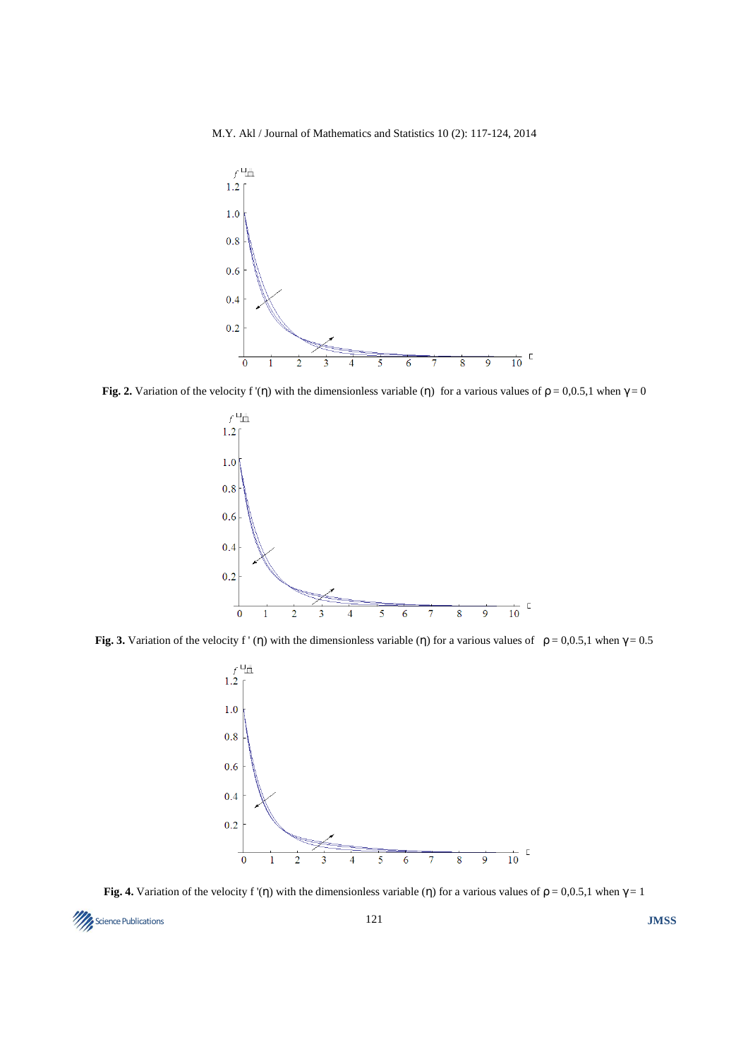M.Y. Akl / Journal of Mathematics and Statistics 10 (2): 117-124, 2014



**Fig. 2.** Variation of the velocity f '(η) with the dimensionless variable (η) for a various values of  $\rho = 0.0.5,1$  when  $\gamma = 0$ 



**Fig. 3.** Variation of the velocity f' (η) with the dimensionless variable (η) for a various values of  $\rho = 0.0.5,1$  when  $\gamma = 0.5$ 



**Fig. 4.** Variation of the velocity f '(η) with the dimensionless variable (η) for a various values of  $\rho = 0.0.5,1$  when  $\gamma = 1$ 

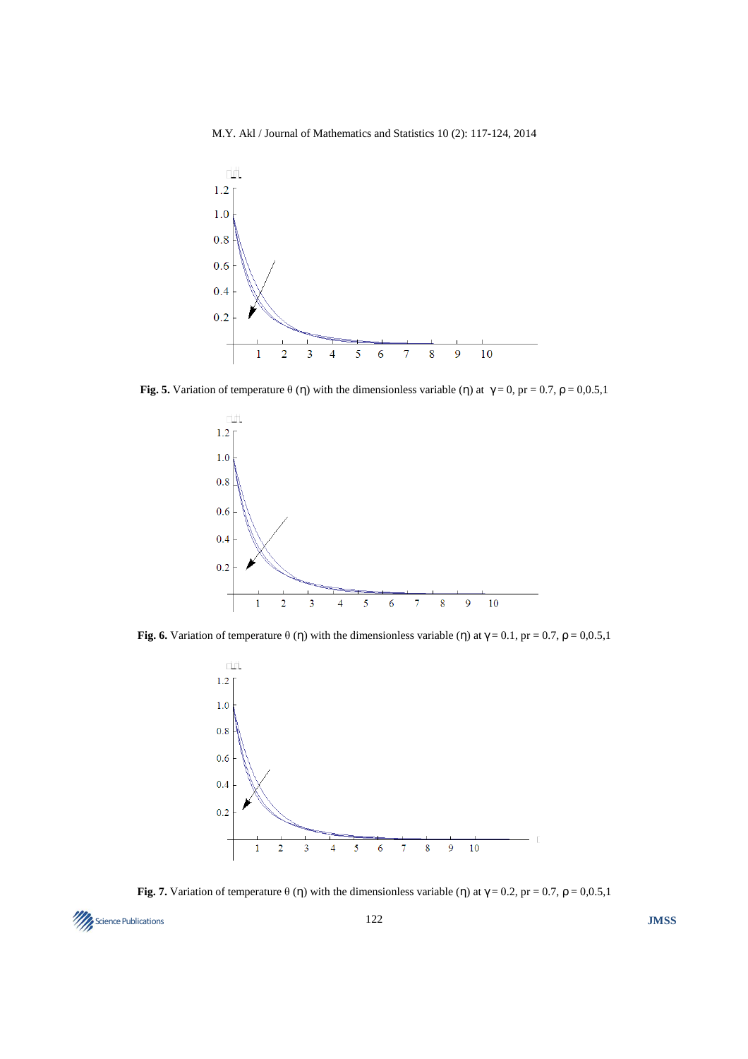M.Y. Akl / Journal of Mathematics and Statistics 10 (2): 117-124, 2014



**Fig. 5.** Variation of temperature  $\theta$  (η) with the dimensionless variable (η) at  $\gamma = 0$ , pr = 0.7,  $\rho = 0.0.5,1$ 



**Fig. 6.** Variation of temperature  $\theta$  (η) with the dimensionless variable (η) at  $\gamma = 0.1$ , pr = 0.7,  $\rho = 0.0.5,1$ 



**Fig. 7.** Variation of temperature  $\theta$  (η) with the dimensionless variable (η) at  $\gamma = 0.2$ , pr = 0.7,  $\rho = 0.0.5,1$ 

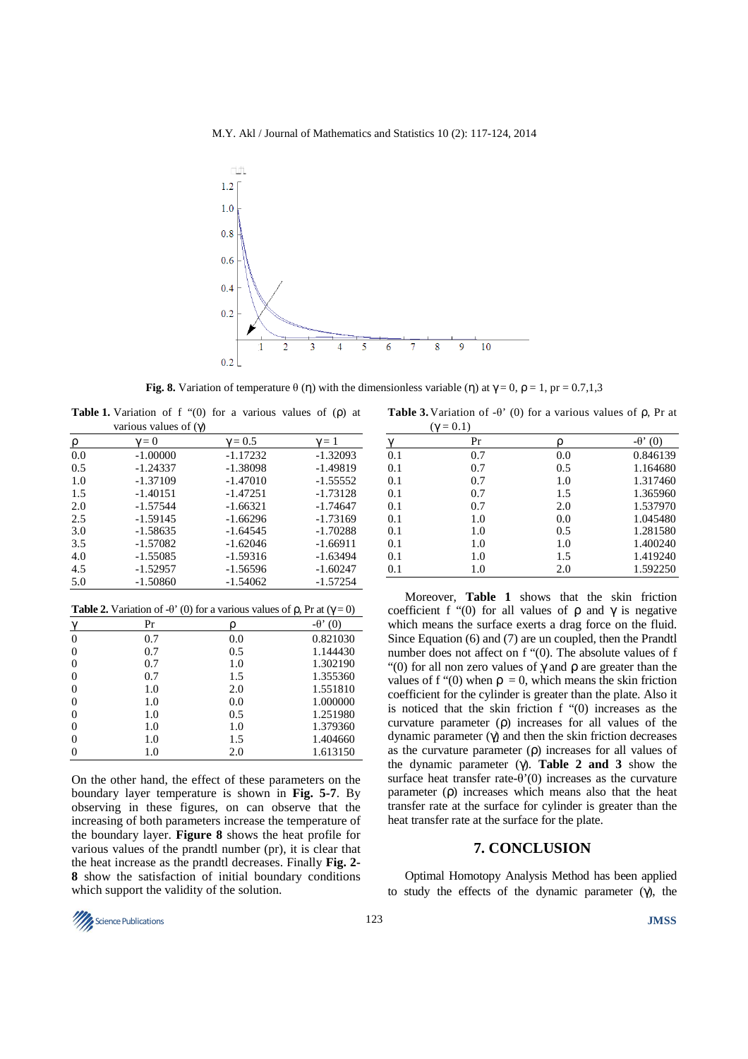M.Y. Akl / Journal of Mathematics and Statistics 10 (2): 117-124, 2014



**Fig. 8.** Variation of temperature  $\theta$  (η) with the dimensionless variable (η) at  $\gamma = 0$ ,  $\rho = 1$ ,  $pr = 0.7,1,3$ 

**Table 1.** Variation of f "(0) for a various values of (ρ) at various values of (γ)

| p   | $\gamma = 0$ | $\gamma = 0.5$ | $\gamma=1$ |
|-----|--------------|----------------|------------|
| 0.0 | $-1.00000$   | $-1.17232$     | $-1.32093$ |
| 0.5 | $-1.24337$   | $-1.38098$     | $-1.49819$ |
| 1.0 | $-1.37109$   | $-1.47010$     | $-1.55552$ |
| 1.5 | $-1.40151$   | $-1.47251$     | $-1.73128$ |
| 2.0 | $-1.57544$   | $-1.66321$     | $-1.74647$ |
| 2.5 | $-1.59145$   | $-1.66296$     | $-1.73169$ |
| 3.0 | $-1.58635$   | -1.64545       | $-1.70288$ |
| 3.5 | $-1.57082$   | $-1.62046$     | $-1.66911$ |
| 4.0 | $-1.55085$   | -1.59316       | $-1.63494$ |
| 4.5 | $-1.52957$   | -1.56596       | $-1.60247$ |
| 5.0 | $-1.50860$   | -1.54062       | $-1.57254$ |

| <b>Table 2.</b> Variation of - $\theta$ ' (0) for a various values of $\rho$ , Pr at ( $\gamma = 0$ ) |     |     |                 |  |  |
|-------------------------------------------------------------------------------------------------------|-----|-----|-----------------|--|--|
|                                                                                                       | Pr  |     | $-\theta$ ' (0) |  |  |
| 0                                                                                                     | 0.7 | 0.0 | 0.821030        |  |  |
|                                                                                                       | 0.7 | 0.5 | 1.144430        |  |  |
|                                                                                                       | 0.7 | 1.0 | 1.302190        |  |  |
|                                                                                                       | 0.7 | 1.5 | 1.355360        |  |  |
|                                                                                                       | 1.0 | 2.0 | 1.551810        |  |  |
|                                                                                                       | 1.0 | 0.0 | 1.000000        |  |  |
|                                                                                                       | 1.0 | 0.5 | 1.251980        |  |  |
|                                                                                                       | 1.0 | 1.0 | 1.379360        |  |  |
|                                                                                                       | 1.0 | 1.5 | 1.404660        |  |  |
|                                                                                                       | 1.0 | 2.0 | 1.613150        |  |  |

On the other hand, the effect of these parameters on the boundary layer temperature is shown in **Fig. 5-7**. By observing in these figures, on can observe that the increasing of both parameters increase the temperature of the boundary layer. **Figure 8** shows the heat profile for various values of the prandtl number (pr), it is clear that the heat increase as the prandtl decreases. Finally **Fig. 2- 8** show the satisfaction of initial boundary conditions which support the validity of the solution.

**Table 3.** Variation of -θ' (0) for a various values of ρ, Pr at

|     | $(\gamma = 0.1)$ |     |                 |
|-----|------------------|-----|-----------------|
|     | Pr               |     | $-\theta$ ' (0) |
| 0.1 | 0.7              | 0.0 | 0.846139        |
| 0.1 | 0.7              | 0.5 | 1.164680        |
| 0.1 | 0.7              | 1.0 | 1.317460        |
| 0.1 | 0.7              | 1.5 | 1.365960        |
| 0.1 | 0.7              | 2.0 | 1.537970        |
| 0.1 | 1.0              | 0.0 | 1.045480        |
| 0.1 | 1.0              | 0.5 | 1.281580        |
| 0.1 | 1.0              | 1.0 | 1.400240        |
| 0.1 | 1.0              | 1.5 | 1.419240        |
| 0.1 | 1.0              | 2.0 | 1.592250        |

Moreover, **Table 1** shows that the skin friction coefficient f "(0) for all values of  $\rho$  and  $\gamma$  is negative which means the surface exerts a drag force on the fluid. Since Equation (6) and (7) are un coupled, then the Prandtl number does not affect on f "(0). The absolute values of f "(0) for all non zero values of  $\gamma$  and  $\rho$  are greater than the values of f "(0) when  $\rho = 0$ , which means the skin friction coefficient for the cylinder is greater than the plate. Also it is noticed that the skin friction f "(0) increases as the curvature parameter (ρ) increases for all values of the dynamic parameter (γ) and then the skin friction decreases as the curvature parameter (ρ) increases for all values of the dynamic parameter (γ). **Table 2 and 3** show the surface heat transfer rate- $\theta'(0)$  increases as the curvature parameter (ρ) increases which means also that the heat transfer rate at the surface for cylinder is greater than the heat transfer rate at the surface for the plate.

### **7. CONCLUSION**

Optimal Homotopy Analysis Method has been applied to study the effects of the dynamic parameter (γ), the